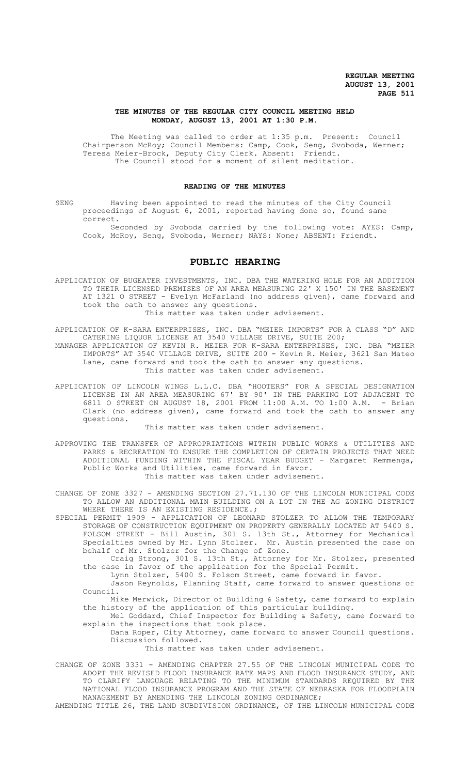# **THE MINUTES OF THE REGULAR CITY COUNCIL MEETING HELD MONDAY, AUGUST 13, 2001 AT 1:30 P.M.**

The Meeting was called to order at 1:35 p.m. Present: Council Chairperson McRoy; Council Members: Camp, Cook, Seng, Svoboda, Werner; Teresa Meier-Brock, Deputy City Clerk. Absent: Friendt. The Council stood for a moment of silent meditation.

# **READING OF THE MINUTES**

SENG Having been appointed to read the minutes of the City Council proceedings of August 6, 2001, reported having done so, found same correct.

Seconded by Svoboda carried by the following vote: AYES: Camp, Cook, McRoy, Seng, Svoboda, Werner; NAYS: None; ABSENT: Friendt.

# **PUBLIC HEARING**

APPLICATION OF BUGEATER INVESTMENTS, INC. DBA THE WATERING HOLE FOR AN ADDITION TO THEIR LICENSED PREMISES OF AN AREA MEASURING 22' X 150' IN THE BASEMENT AT 1321 O STREET - Evelyn McFarland (no address given), came forward and took the oath to answer any questions.

This matter was taken under advisement.

APPLICATION OF K-SARA ENTERPRISES, INC. DBA "MEIER IMPORTS" FOR A CLASS "D" AND CATERING LIQUOR LICENSE AT 3540 VILLAGE DRIVE, SUITE 200;

MANAGER APPLICATION OF KEVIN R. MEIER FOR K-SARA ENTERPRISES, INC. DBA "MEIER IMPORTS" AT 3540 VILLAGE DRIVE, SUITE 200 - Kevin R. Meier, 3621 San Mateo Lane, came forward and took the oath to answer any questions. This matter was taken under advisement.

APPLICATION OF LINCOLN WINGS L.L.C. DBA "HOOTERS" FOR A SPECIAL DESIGNATION LICENSE IN AN AREA MEASURING 67' BY 90' IN THE PARKING LOT ADJACENT TO 6811 O STREET ON AUGUST 18, 2001 FROM 11:00 A.M. TO 1:00 A.M. - Brian Clark (no address given), came forward and took the oath to answer any questions.

# This matter was taken under advisement.

APPROVING THE TRANSFER OF APPROPRIATIONS WITHIN PUBLIC WORKS & UTILITIES AND PARKS & RECREATION TO ENSURE THE COMPLETION OF CERTAIN PROJECTS THAT NEED ADDITIONAL FUNDING WITHIN THE FISCAL YEAR BUDGET - Margaret Remmenga, Public Works and Utilities, came forward in favor. This matter was taken under advisement.

CHANGE OF ZONE 3327 - AMENDING SECTION 27.71.130 OF THE LINCOLN MUNICIPAL CODE TO ALLOW AN ADDITIONAL MAIN BUILDING ON A LOT IN THE AG ZONING DISTRICT WHERE THERE IS AN EXISTING RESIDENCE.;

SPECIAL PERMIT 1909 - APPLICATION OF LEONARD STOLZER TO ALLOW THE TEMPORARY STORAGE OF CONSTRUCTION EQUIPMENT ON PROPERTY GENERALLY LOCATED AT 5400 S. FOLSOM STREET - Bill Austin, 301 S. 13th St., Attorney for Mechanical Specialties owned by Mr. Lynn Stolzer. Mr. Austin presented the case on behalf of Mr. Stolzer for the Change of Zone.

Craig Strong, 301 S. 13th St., Attorney for Mr. Stolzer, presented the case in favor of the application for the Special Permit.

Lynn Stolzer, 5400 S. Folsom Street, came forward in favor.

Jason Reynolds, Planning Staff, came forward to answer questions of Council.

Mike Merwick, Director of Building & Safety, came forward to explain the history of the application of this particular building.

Mel Goddard, Chief Inspector for Building & Safety, came forward to explain the inspections that took place.

Dana Roper, City Attorney, came forward to answer Council questions. Discussion followed.

This matter was taken under advisement.

CHANGE OF ZONE 3331 - AMENDING CHAPTER 27.55 OF THE LINCOLN MUNICIPAL CODE TO ADOPT THE REVISED FLOOD INSURANCE RATE MAPS AND FLOOD INSURANCE STUDY, AND TO CLARIFY LANGUAGE RELATING TO THE MINIMUM STANDARDS REQUIRED BY THE NATIONAL FLOOD INSURANCE PROGRAM AND THE STATE OF NEBRASKA FOR FLOODPLAIN MANAGEMENT BY AMENDING THE LINCOLN ZONING ORDINANCE;

AMENDING TITLE 26, THE LAND SUBDIVISION ORDINANCE, OF THE LINCOLN MUNICIPAL CODE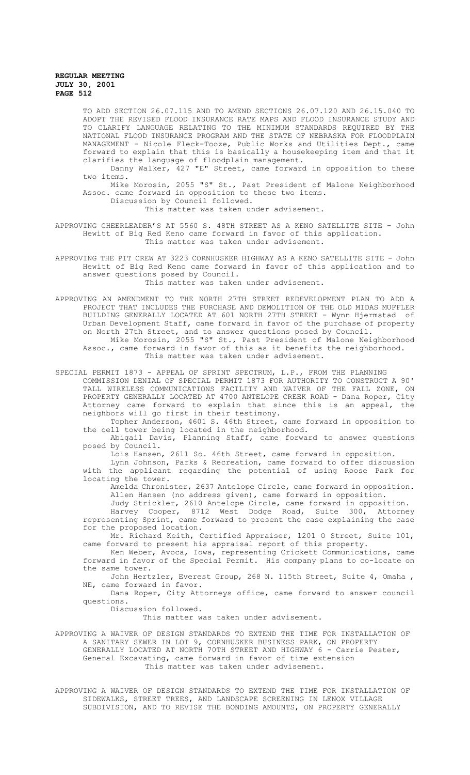TO ADD SECTION 26.07.115 AND TO AMEND SECTIONS 26.07.120 AND 26.15.040 TO ADOPT THE REVISED FLOOD INSURANCE RATE MAPS AND FLOOD INSURANCE STUDY AND TO CLARIFY LANGUAGE RELATING TO THE MINIMUM STANDARDS REQUIRED BY THE NATIONAL FLOOD INSURANCE PROGRAM AND THE STATE OF NEBRASKA FOR FLOODPLAIN MANAGEMENT - Nicole Fleck-Tooze, Public Works and Utilities Dept., came forward to explain that this is basically a housekeeping item and that it clarifies the language of floodplain management.

Danny Walker, 427 "E" Street, came forward in opposition to these two items.

Mike Morosin, 2055 "S" St., Past President of Malone Neighborhood Assoc. came forward in opposition to these two items.

Discussion by Council followed. This matter was taken under advisement.

APPROVING CHEERLEADER'S AT 5560 S. 48TH STREET AS A KENO SATELLITE SITE - John Hewitt of Big Red Keno came forward in favor of this application. This matter was taken under advisement.

APPROVING THE PIT CREW AT 3223 CORNHUSKER HIGHWAY AS A KENO SATELLITE SITE - John Hewitt of Big Red Keno came forward in favor of this application and to answer questions posed by Council.

This matter was taken under advisement.

APPROVING AN AMENDMENT TO THE NORTH 27TH STREET REDEVELOPMENT PLAN TO ADD A PROJECT THAT INCLUDES THE PURCHASE AND DEMOLITION OF THE OLD MIDAS MUFFLER BUILDING GENERALLY LOCATED AT 601 NORTH 27TH STREET - Wynn Hjermstad of Urban Development Staff, came forward in favor of the purchase of property on North 27th Street, and to answer questions posed by Council. Mike Morosin, 2055 "S" St., Past President of Malone Neighborhood

Assoc., came forward in favor of this as it benefits the neighborhood. This matter was taken under advisement.

SPECIAL PERMIT 1873 - APPEAL OF SPRINT SPECTRUM, L.P., FROM THE PLANNING

COMMISSION DENIAL OF SPECIAL PERMIT 1873 FOR AUTHORITY TO CONSTRUCT A 90' TALL WIRELESS COMMUNICATIONS FACILITY AND WAIVER OF THE FALL ZONE, ON PROPERTY GENERALLY LOCATED AT 4700 ANTELOPE CREEK ROAD - Dana Roper, City Attorney came forward to explain that since this is an appeal, the neighbors will go first in their testimony.

Topher Anderson, 4601 S. 46th Street, came forward in opposition to the cell tower being located in the neighborhood.

Abigail Davis, Planning Staff, came forward to answer questions posed by Council.

Lois Hansen, 2611 So. 46th Street, came forward in opposition.

Lynn Johnson, Parks & Recreation, came forward to offer discussion with the applicant regarding the potential of using Roose Park for locating the tower.

Amelda Chronister, 2637 Antelope Circle, came forward in opposition. Allen Hansen (no address given), came forward in opposition.

Judy Strickler, 2610 Antelope Circle, came forward in opposition.

Harvey Cooper, 8712 West Dodge Road, Suite 300, Attorney representing Sprint, came forward to present the case explaining the case for the proposed location.

Mr. Richard Keith, Certified Appraiser, 1201 O Street, Suite 101, came forward to present his appraisal report of this property.

Ken Weber, Avoca, Iowa, representing Crickett Communications, came forward in favor of the Special Permit. His company plans to co-locate on the same tower.

John Hertzler, Everest Group, 268 N. 115th Street, Suite 4, Omaha , NE, came forward in favor.

Dana Roper, City Attorneys office, came forward to answer council questions.

Discussion followed.

This matter was taken under advisement.

APPROVING A WAIVER OF DESIGN STANDARDS TO EXTEND THE TIME FOR INSTALLATION OF A SANITARY SEWER IN LOT 9, CORNHUSKER BUSINESS PARK, ON PROPERTY GENERALLY LOCATED AT NORTH 70TH STREET AND HIGHWAY 6 - Carrie Pester, General Excavating, came forward in favor of time extension This matter was taken under advisement.

APPROVING A WAIVER OF DESIGN STANDARDS TO EXTEND THE TIME FOR INSTALLATION OF SIDEWALKS, STREET TREES, AND LANDSCAPE SCREENING IN LENOX VILLAGE SUBDIVISION, AND TO REVISE THE BONDING AMOUNTS, ON PROPERTY GENERALLY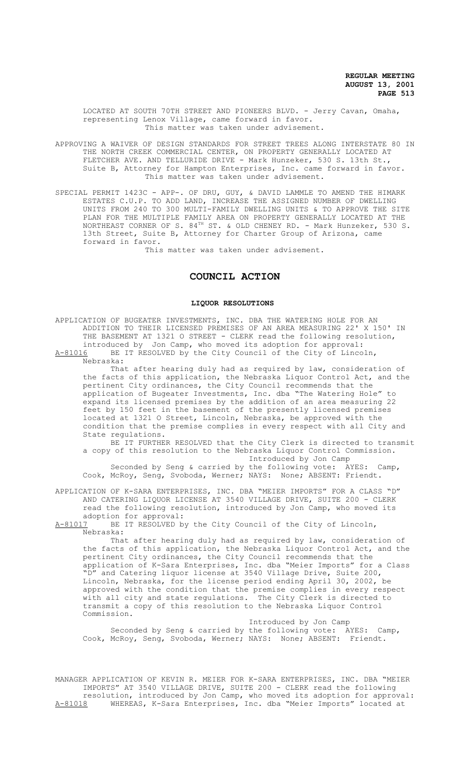LOCATED AT SOUTH 70TH STREET AND PIONEERS BLVD. - Jerry Cavan, Omaha, representing Lenox Village, came forward in favor. This matter was taken under advisement.

APPROVING A WAIVER OF DESIGN STANDARDS FOR STREET TREES ALONG INTERSTATE 80 IN THE NORTH CREEK COMMERCIAL CENTER, ON PROPERTY GENERALLY LOCATED AT FLETCHER AVE. AND TELLURIDE DRIVE - Mark Hunzeker, 530 S. 13th St., Suite B, Attorney for Hampton Enterprises, Inc. came forward in favor. This matter was taken under advisement.

SPECIAL PERMIT 1423C - APP-. OF DRU, GUY, & DAVID LAMMLE TO AMEND THE HIMARK ESTATES C.U.P. TO ADD LAND, INCREASE THE ASSIGNED NUMBER OF DWELLING UNITS FROM 240 TO 300 MULTI-FAMILY DWELLING UNITS & TO APPROVE THE SITE PLAN FOR THE MULTIPLE FAMILY AREA ON PROPERTY GENERALLY LOCATED AT THE NORTHEAST CORNER OF S.  $84^{\text{TH}}$  ST. & OLD CHENEY RD. - Mark Hunzeker, 530 S. 13th Street, Suite B, Attorney for Charter Group of Arizona, came forward in favor.

This matter was taken under advisement.

# **COUNCIL ACTION**

### **LIQUOR RESOLUTIONS**

APPLICATION OF BUGEATER INVESTMENTS, INC. DBA THE WATERING HOLE FOR AN ADDITION TO THEIR LICENSED PREMISES OF AN AREA MEASURING 22' X 150' IN THE BASEMENT AT 1321 O STREET - CLERK read the following resolution, introduced by Jon Camp, who moved its adoption for approval:<br>A-81016 BE IT RESOLVED by the City Council of the City of Linco BE IT RESOLVED by the City Council of the City of Lincoln, Nebraska: That after hearing duly had as required by law, consideration of the facts of this application, the Nebraska Liquor Control Act, and the pertinent City ordinances, the City Council recommends that the application of Bugeater Investments, Inc. dba "The Watering Hole" to expand its licensed premises by the addition of an area measuring 22 feet by 150 feet in the basement of the presently licensed premises located at 1321 O Street, Lincoln, Nebraska, be approved with the condition that the premise complies in every respect with all City and State regulations. BE IT FURTHER RESOLVED that the City Clerk is directed to transmit a copy of this resolution to the Nebraska Liquor Control Commission. Introduced by Jon Camp Seconded by Seng & carried by the following vote: AYES: Camp, Cook, McRoy, Seng, Svoboda, Werner; NAYS: None; ABSENT: Friendt. APPLICATION OF K-SARA ENTERPRISES, INC. DBA "MEIER IMPORTS" FOR A CLASS "D" AND CATERING LIQUOR LICENSE AT 3540 VILLAGE DRIVE, SUITE 200 - CLERK read the following resolution, introduced by Jon Camp, who moved its adoption for approval:<br>A-81017 BE IT RESOLVED b BE IT RESOLVED by the City Council of the City of Lincoln, Nebraska: That after hearing duly had as required by law, consideration of the facts of this application, the Nebraska Liquor Control Act, and the pertinent City ordinances, the City Council recommends that the application of K-Sara Enterprises, Inc. dba "Meier Imports" for a Class "D" and Catering liquor license at 3540 Village Drive, Suite 200, Lincoln, Nebraska, for the license period ending April 30, 2002, be approved with the condition that the premise complies in every respect with all city and state regulations. The City Clerk is directed to

Introduced by Jon Camp Seconded by Seng & carried by the following vote: AYES: Camp, Cook, McRoy, Seng, Svoboda, Werner; NAYS: None; ABSENT: Friendt.

transmit a copy of this resolution to the Nebraska Liquor Control

Commission.

MANAGER APPLICATION OF KEVIN R. MEIER FOR K-SARA ENTERPRISES, INC. DBA "MEIER IMPORTS" AT 3540 VILLAGE DRIVE, SUITE 200 - CLERK read the following resolution, introduced by Jon Camp, who moved its adoption for approval: A-81018 WHEREAS, K-Sara Enterprises, Inc. dba "Meier Imports" located at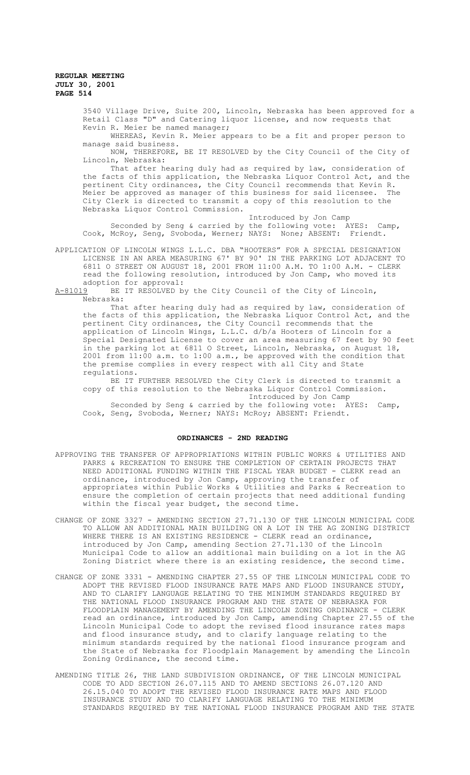> 3540 Village Drive, Suite 200, Lincoln, Nebraska has been approved for a Retail Class "D" and Catering liquor license, and now requests that Kevin R. Meier be named manager;

WHEREAS, Kevin R. Meier appears to be a fit and proper person to manage said business.

NOW, THEREFORE, BE IT RESOLVED by the City Council of the City of Lincoln, Nebraska:

That after hearing duly had as required by law, consideration of the facts of this application, the Nebraska Liquor Control Act, and the pertinent City ordinances, the City Council recommends that Kevin R. Meier be approved as manager of this business for said licensee. The City Clerk is directed to transmit a copy of this resolution to the Nebraska Liquor Control Commission.

Introduced by Jon Camp Seconded by Seng & carried by the following vote: AYES: Camp, Cook, McRoy, Seng, Svoboda, Werner; NAYS: None; ABSENT: Friendt.

APPLICATION OF LINCOLN WINGS L.L.C. DBA "HOOTERS" FOR A SPECIAL DESIGNATION LICENSE IN AN AREA MEASURING 67' BY 90' IN THE PARKING LOT ADJACENT TO 6811 O STREET ON AUGUST 18, 2001 FROM 11:00 A.M. TO 1:00 A.M. - CLERK read the following resolution, introduced by Jon Camp, who moved its adoption for approval:<br>A-81019 BE IT RESOLVED by

BE IT RESOLVED by the City Council of the City of Lincoln, Nebraska:

That after hearing duly had as required by law, consideration of the facts of this application, the Nebraska Liquor Control Act, and the pertinent City ordinances, the City Council recommends that the application of Lincoln Wings, L.L.C. d/b/a Hooters of Lincoln for a Special Designated License to cover an area measuring 67 feet by 90 feet in the parking lot at 6811 O Street, Lincoln, Nebraska, on August 18, 2001 from 11:00 a.m. to 1:00 a.m., be approved with the condition that the premise complies in every respect with all City and State regulations.

BE IT FURTHER RESOLVED the City Clerk is directed to transmit a copy of this resolution to the Nebraska Liquor Control Commission. Introduced by Jon Camp

Seconded by Seng & carried by the following vote: AYES: Camp, Cook, Seng, Svoboda, Werner; NAYS: McRoy; ABSENT: Friendt.

# **ORDINANCES - 2ND READING**

- APPROVING THE TRANSFER OF APPROPRIATIONS WITHIN PUBLIC WORKS & UTILITIES AND PARKS & RECREATION TO ENSURE THE COMPLETION OF CERTAIN PROJECTS THAT NEED ADDITIONAL FUNDING WITHIN THE FISCAL YEAR BUDGET - CLERK read an ordinance, introduced by Jon Camp, approving the transfer of appropriates within Public Works & Utilities and Parks & Recreation to ensure the completion of certain projects that need additional funding within the fiscal year budget, the second time.
- CHANGE OF ZONE 3327 AMENDING SECTION 27.71.130 OF THE LINCOLN MUNICIPAL CODE TO ALLOW AN ADDITIONAL MAIN BUILDING ON A LOT IN THE AG ZONING DISTRICT WHERE THERE IS AN EXISTING RESIDENCE - CLERK read an ordinance, introduced by Jon Camp, amending Section 27.71.130 of the Lincoln Municipal Code to allow an additional main building on a lot in the AG Zoning District where there is an existing residence, the second time.
- CHANGE OF ZONE 3331 AMENDING CHAPTER 27.55 OF THE LINCOLN MUNICIPAL CODE TO ADOPT THE REVISED FLOOD INSURANCE RATE MAPS AND FLOOD INSURANCE STUDY, AND TO CLARIFY LANGUAGE RELATING TO THE MINIMUM STANDARDS REQUIRED BY THE NATIONAL FLOOD INSURANCE PROGRAM AND THE STATE OF NEBRASKA FOR FLOODPLAIN MANAGEMENT BY AMENDING THE LINCOLN ZONING ORDINANCE - CLERK read an ordinance, introduced by Jon Camp, amending Chapter 27.55 of the Lincoln Municipal Code to adopt the revised flood insurance rates maps and flood insurance study, and to clarify language relating to the minimum standards required by the national flood insurance program and the State of Nebraska for Floodplain Management by amending the Lincoln Zoning Ordinance, the second time.
- AMENDING TITLE 26, THE LAND SUBDIVISION ORDINANCE, OF THE LINCOLN MUNICIPAL CODE TO ADD SECTION 26.07.115 AND TO AMEND SECTIONS 26.07.120 AND 26.15.040 TO ADOPT THE REVISED FLOOD INSURANCE RATE MAPS AND FLOOD INSURANCE STUDY AND TO CLARIFY LANGUAGE RELATING TO THE MINIMUM STANDARDS REQUIRED BY THE NATIONAL FLOOD INSURANCE PROGRAM AND THE STATE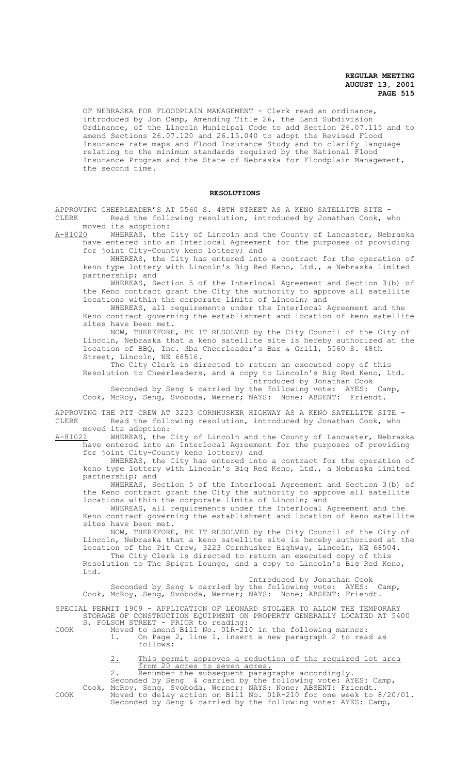OF NEBRASKA FOR FLOODPLAIN MANAGEMENT - Clerk read an ordinance, introduced by Jon Camp, Amending Title 26, the Land Subdivision Ordinance, of the Lincoln Municipal Code to add Section 26.07.115 and to amend Sections 26.07.120 and 26.15.040 to adopt the Revised Flood Insurance rate maps and Flood Insurance Study and to clarify language relating to the minimum standards required by the National Flood Insurance Program and the State of Nebraska for Floodplain Management, the second time.

#### **RESOLUTIONS**

APPROVING CHEERLEADER'S AT 5560 S. 48TH STREET AS A KENO SATELLITE SITE -<br>CLERK a Read the following resolution, introduced by Jonathan Cook, w Read the following resolution, introduced by Jonathan Cook, who moved its adoption:<br>A-81020 WHEREAS, the

WHEREAS, the City of Lincoln and the County of Lancaster, Nebraska have entered into an Interlocal Agreement for the purposes of providing for joint City-County keno lottery; and

WHEREAS, the City has entered into a contract for the operation of keno type lottery with Lincoln's Big Red Keno, Ltd., a Nebraska limited partnership; and

WHEREAS, Section 5 of the Interlocal Agreement and Section 3(b) of the Keno contract grant the City the authority to approve all satellite locations within the corporate limits of Lincoln; and

WHEREAS, all requirements under the Interlocal Agreement and the Keno contract governing the establishment and location of keno satellite sites have been met.

NOW, THEREFORE, BE IT RESOLVED by the City Council of the City of Lincoln, Nebraska that a keno satellite site is hereby authorized at the location of BBQ, Inc. dba Cheerleader's Bar & Grill, 5560 S. 48th Street, Lincoln, NE 68516.

The City Clerk is directed to return an executed copy of this Resolution to Cheerleaders, and a copy to Lincoln's Big Red Keno, Ltd. Introduced by Jonathan Cook

Seconded by Seng & carried by the following vote: AYES: Camp, Cook, McRoy, Seng, Svoboda, Werner; NAYS: None; ABSENT: Friendt.

APPROVING THE PIT CREW AT 3223 CORNHUSKER HIGHWAY AS A KENO SATELLITE SITE -<br>CLERK and the following resolution, introduced by Jonathan Cook, who Read the following resolution, introduced by Jonathan Cook, who moved its adoption:

A-81021 MHEREAS, the City of Lincoln and the County of Lancaster, Nebraska have entered into an Interlocal Agreement for the purposes of providing for joint City-County keno lottery; and

WHEREAS, the City has entered into a contract for the operation of keno type lottery with Lincoln's Big Red Keno, Ltd., a Nebraska limited partnership; and

WHEREAS, Section 5 of the Interlocal Agreement and Section 3(b) of the Keno contract grant the City the authority to approve all satellite locations within the corporate limits of Lincoln; and

WHEREAS, all requirements under the Interlocal Agreement and the Keno contract governing the establishment and location of keno satellite sites have been met.

NOW, THEREFORE, BE IT RESOLVED by the City Council of the City of Lincoln, Nebraska that a keno satellite site is hereby authorized at the location of the Pit Crew, 3223 Cornhusker Highway, Lincoln, NE 68504. The City Clerk is directed to return an executed copy of this Resolution to The Spigot Lounge, and a copy to Lincoln's Big Red Keno, Ltd.

Introduced by Jonathan Cook Seconded by Seng & carried by the following vote: AYES: Camp, Cook, McRoy, Seng, Svoboda, Werner; NAYS: None; ABSENT: Friendt.

SPECIAL PERMIT 1909 - APPLICATION OF LEONARD STOLZER TO ALLOW THE TEMPORARY STORAGE OF CONSTRUCTION EQUIPMENT ON PROPERTY GENERALLY LOCATED AT 5400 S. FOLSOM STREET - PRIOR to reading:

COOK Moved to amend Bill No. 01R-210 in the following manner: 1. On Page 2, line 1, insert a new paragraph 2 to read as follows:

> 2. This permit approves a reduction of the required lot area from 20 acres to seven acres.

2. Renumber the subsequent paragraphs accordingly. Seconded by Seng & carried by the following vote: AYES: Camp, Cook, McRoy, Seng, Svoboda, Werner; NAYS: None; ABSENT: Friendt. COOK Moved to delay action on Bill No. 01R-210 for one week to 8/20/01. Seconded by Seng & carried by the following vote: AYES: Camp,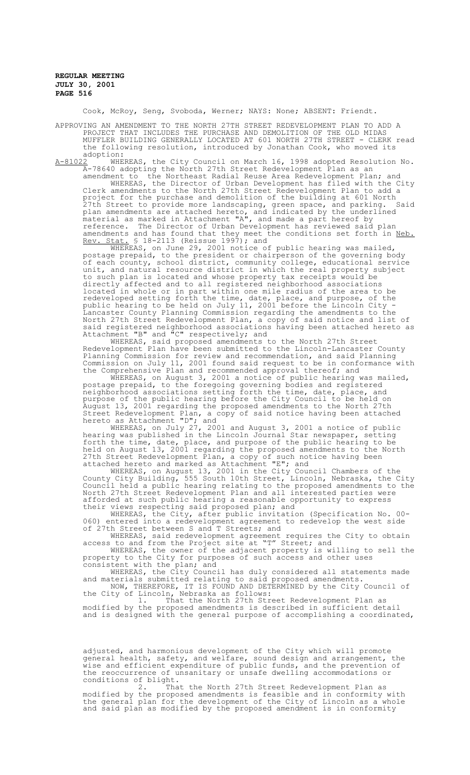Cook, McRoy, Seng, Svoboda, Werner; NAYS: None; ABSENT: Friendt.

APPROVING AN AMENDMENT TO THE NORTH 27TH STREET REDEVELOPMENT PLAN TO ADD A PROJECT THAT INCLUDES THE PURCHASE AND DEMOLITION OF THE OLD MIDAS MUFFLER BUILDING GENERALLY LOCATED AT 601 NORTH 27TH STREET - CLERK read the following resolution, introduced by Jonathan Cook, who moved its

adoption:<br><u>A-81022</u> WHE WHEREAS, the City Council on March 16, 1998 adopted Resolution No. A-78640 adopting the North 27th Street Redevelopment Plan as an

amendment to the Northeast Radial Reuse Area Redevelopment Plan; and WHEREAS, the Director of Urban Development has filed with the City Clerk amendments to the North 27th Street Redevelopment Plan to add a project for the purchase and demolition of the building at 601 North 27th Street to provide more landscaping, green space, and parking. Said plan amendments are attached hereto, and indicated by the underlined material as marked in Attachment "A", and made a part hereof by reference. The Director of Urban Development has reviewed said plan amendments and has found that they meet the conditions set forth in Neb. Rev. Stat. § 18-2113 (Reissue 1997); and

WHEREAS, on June 29, 2001 notice of public hearing was mailed, postage prepaid, to the president or chairperson of the governing body of each county, school district, community college, educational service unit, and natural resource district in which the real property subject to such plan is located and whose property tax receipts would be directly affected and to all registered neighborhood associations located in whole or in part within one mile radius of the area to be redeveloped setting forth the time, date, place, and purpose, of the public hearing to be held on July 11, 2001 before the Lincoln City - Lancaster County Planning Commission regarding the amendments to the North 27th Street Redevelopment Plan, a copy of said notice and list of said registered neighborhood associations having been attached hereto as Attachment "B" and "C" respectively; and

WHEREAS, said proposed amendments to the North 27th Street Redevelopment Plan have been submitted to the Lincoln-Lancaster County Planning Commission for review and recommendation, and said Planning Commission on July 11, 2001 found said request to be in conformance with the Comprehensive Plan and recommended approval thereof; and

WHEREAS, on August 3, 2001 a notice of public hearing was mailed, postage prepaid, to the foregoing governing bodies and registered neighborhood associations setting forth the time, date, place, and purpose of the public hearing before the City Council to be held on August 13, 2001 regarding the proposed amendments to the North 27th Street Redevelopment Plan, a copy of said notice having been attached hereto as Attachment "D"; and

WHEREAS, on July 27, 2001 and August 3, 2001 a notice of public hearing was published in the Lincoln Journal Star newspaper, setting forth the time, date, place, and purpose of the public hearing to be held on August 13, 2001 regarding the proposed amendments to the North 27th Street Redevelopment Plan, a copy of such notice having been attached hereto and marked as Attachment "E"; and

WHEREAS, on August 13, 2001 in the City Council Chambers of the County City Building, 555 South 10th Street, Lincoln, Nebraska, the City Council held a public hearing relating to the proposed amendments to the North 27th Street Redevelopment Plan and all interested parties were afforded at such public hearing a reasonable opportunity to express their views respecting said proposed plan; and

WHEREAS, the City, after public invitation (Specification No. 00- 060) entered into a redevelopment agreement to redevelop the west side of 27th Street between S and T Streets; and

WHEREAS, said redevelopment agreement requires the City to obtain access to and from the Project site at "T" Street; and WHEREAS, the owner of the adjacent property is willing to sell the

property to the City for purposes of such access and other uses consistent with the plan; and

WHEREAS, the City Council has duly considered all statements made and materials submitted relating to said proposed amendments. NOW, THEREFORE, IT IS FOUND AND DETERMINED by the City Council of the City of Lincoln, Nebraska as follows:

1. That the North 27th Street Redevelopment Plan as modified by the proposed amendments is described in sufficient detail and is designed with the general purpose of accomplishing a coordinated,

adjusted, and harmonious development of the City which will promote general health, safety, and welfare, sound design and arrangement, the wise and efficient expenditure of public funds, and the prevention of the reoccurrence of unsanitary or unsafe dwelling accommodations or conditions of blight.

2. That the North 27th Street Redevelopment Plan as modified by the proposed amendments is feasible and in conformity with the general plan for the development of the City of Lincoln as a whole and said plan as modified by the proposed amendment is in conformity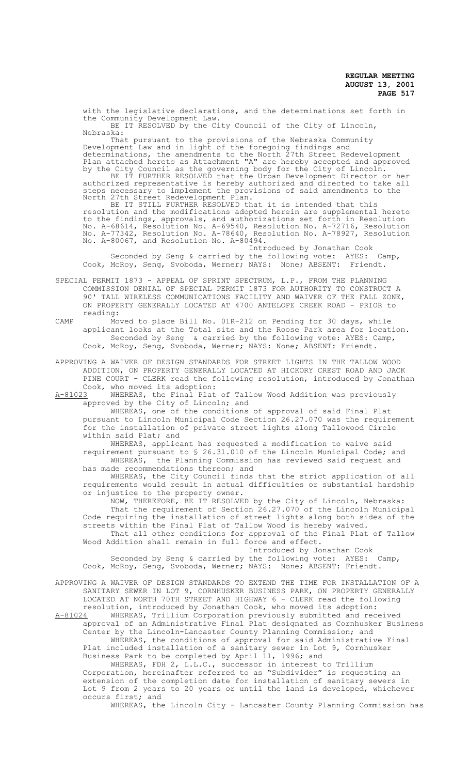with the legislative declarations, and the determinations set forth in the Community Development Law. BE IT RESOLVED by the City Council of the City of Lincoln,<br>Nebraska: Nebraska: That pursuant to the provisions of the Nebraska Community Development Law and in light of the foregoing findings and determinations, the amendments to the North 27th Street Redevelopment Plan attached hereto as Attachment "A" are hereby accepted and approved by the City Council as the governing body for the City of Lincoln. BE IT FURTHER RESOLVED that the Urban Development Director or her authorized representative is hereby authorized and directed to take all steps necessary to implement the provisions of said amendments to the North 27th Street Redevelopment Plan. BE IT STILL FURTHER RESOLVED that it is intended that this resolution and the modifications adopted herein are supplemental hereto

to the findings, approvals, and authorizations set forth in Resolution No. A-68614, Resolution No. A-69540, Resolution No. A-72716, Resolution No. A-77342, Resolution No. A-78640, Resolution No. A-78927, Resolution No. A-80067, and Resolution No. A-80494. Introduced by Jonathan Cook

Seconded by Seng & carried by the following vote: AYES: Camp, Cook, McRoy, Seng, Svoboda, Werner; NAYS: None; ABSENT: Friendt.

SPECIAL PERMIT 1873 - APPEAL OF SPRINT SPECTRUM, L.P., FROM THE PLANNING COMMISSION DENIAL OF SPECIAL PERMIT 1873 FOR AUTHORITY TO CONSTRUCT A 90' TALL WIRELESS COMMUNICATIONS FACILITY AND WAIVER OF THE FALL ZONE, ON PROPERTY GENERALLY LOCATED AT 4700 ANTELOPE CREEK ROAD - PRIOR to reading:

CAMP Moved to place Bill No. 01R-212 on Pending for 30 days, while applicant looks at the Total site and the Roose Park area for location. Seconded by Seng & carried by the following vote: AYES: Camp, Cook, McRoy, Seng, Svoboda, Werner; NAYS: None; ABSENT: Friendt.

APPROVING A WAIVER OF DESIGN STANDARDS FOR STREET LIGHTS IN THE TALLOW WOOD ADDITION, ON PROPERTY GENERALLY LOCATED AT HICKORY CREST ROAD AND JACK PINE COURT - CLERK read the following resolution, introduced by Jonathan Cook, who moved its adoption:<br>A-81023 WHEREAS, the Final Plat

WHEREAS, the Final Plat of Tallow Wood Addition was previously approved by the City of Lincoln; and

WHEREAS, one of the conditions of approval of said Final Plat pursuant to Lincoln Municipal Code Section 26.27.070 was the requirement for the installation of private street lights along Tallowood Circle within said Plat; and

WHEREAS, applicant has requested a modification to waive said requirement pursuant to § 26.31.010 of the Lincoln Municipal Code; and WHEREAS, the Planning Commission has reviewed said request and has made recommendations thereon; and

WHEREAS, the City Council finds that the strict application of all requirements would result in actual difficulties or substantial hardship or injustice to the property owner.

NOW, THEREFORE, BE IT RESOLVED by the City of Lincoln, Nebraska: That the requirement of Section 26.27.070 of the Lincoln Municipal Code requiring the installation of street lights along both sides of the streets within the Final Plat of Tallow Wood is hereby waived. That all other conditions for approval of the Final Plat of Tallow Wood Addition shall remain in full force and effect.

Introduced by Jonathan Cook<br>the following vote: AYES: Camp, Seconded by Seng & carried by the following vote: AYES: Camp, Cook, McRoy, Seng, Svoboda, Werner; NAYS: None; ABSENT: Friendt.

APPROVING A WAIVER OF DESIGN STANDARDS TO EXTEND THE TIME FOR INSTALLATION OF A SANITARY SEWER IN LOT 9, CORNHUSKER BUSINESS PARK, ON PROPERTY GENERALLY LOCATED AT NORTH 70TH STREET AND HIGHWAY 6 - CLERK read the following resolution, introduced by Jonathan Cook, who moved its adoption:<br>A-81024 WHEREAS, Trillium Corporation previously submitted and rec A-81024 MHEREAS, Trillium Corporation previously submitted and received

approval of an Administrative Final Plat designated as Cornhusker Business Center by the Lincoln-Lancaster County Planning Commission; and WHEREAS, the conditions of approval for said Administrative Final Plat included installation of a sanitary sewer in Lot 9, Cornhusker Business Park to be completed by April 11, 1996; and

WHEREAS, FDH 2, L.L.C., successor in interest to Trillium Corporation, hereinafter referred to as "Subdivider" is requesting an extension of the completion date for installation of sanitary sewers in Lot 9 from 2 years to 20 years or until the land is developed, whichever occurs first; and

WHEREAS, the Lincoln City - Lancaster County Planning Commission has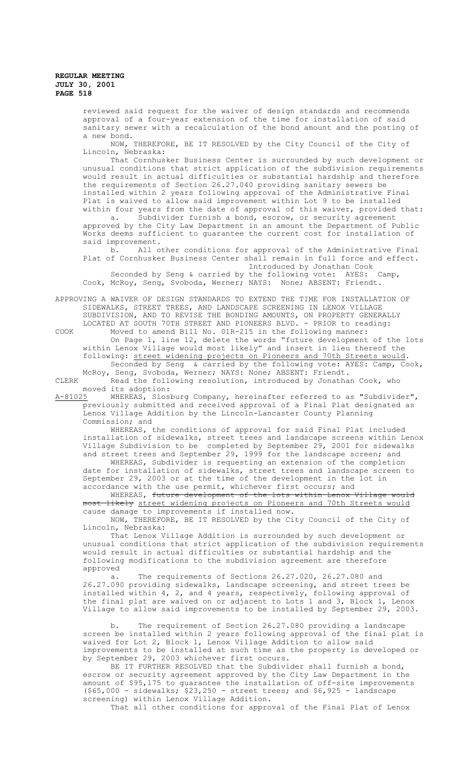> reviewed said request for the waiver of design standards and recommends approval of a four-year extension of the time for installation of said sanitary sewer with a recalculation of the bond amount and the posting of a new bond.

NOW, THEREFORE, BE IT RESOLVED by the City Council of the City of Lincoln, Nebraska:

That Cornhusker Business Center is surrounded by such development or unusual conditions that strict application of the subdivision requirements would result in actual difficulties or substantial hardship and therefore the requirements of Section 26.27.040 providing sanitary sewers be installed within 2 years following approval of the Administrative Final Plat is waived to allow said improvement within Lot 9 to be installed within four years from the date of approval of this waiver, provided that:

a. Subdivider furnish a bond, escrow, or security agreement approved by the City Law Department in an amount the Department of Public Works deems sufficient to guarantee the current cost for installation of said improvement.<br>b. All o

All other conditions for approval of the Administrative Final Plat of Cornhusker Business Center shall remain in full force and effect. Introduced by Jonathan Cook

Seconded by Seng & carried by the following vote: AYES: Camp, Cook, McRoy, Seng, Svoboda, Werner; NAYS: None; ABSENT: Friendt.

APPROVING A WAIVER OF DESIGN STANDARDS TO EXTEND THE TIME FOR INSTALLATION OF SIDEWALKS, STREET TREES, AND LANDSCAPE SCREENING IN LENOX VILLAGE SUBDIVISION, AND TO REVISE THE BONDING AMOUNTS, ON PROPERTY GENERALLY LOCATED AT SOUTH 70TH STREET AND PIONEERS BLVD. - PRIOR to reading:

COOK Moved to amend Bill No. 01R-215 in the following manner: On Page 1, line 12, delete the words "future development of the lots within Lenox Village would most likely" and insert in lieu thereof the following: street widening projects on Pioneers and 70th Streets would.

Seconded by Seng & carried by the following vote: AYES: Camp, Cook, McRoy, Seng, Svoboda, Werner; NAYS: None; ABSENT: Friendt. CLERK Read the following resolution, introduced by Jonathan Cook, who

moved its adoption:

A-81025 WHEREAS, Slosburg Company, hereinafter referred to as "Subdivider", previously submitted and received approval of a Final Plat designated as Lenox Village Addition by the Lincoln-Lancaster County Planning Commission; and

WHEREAS, the conditions of approval for said Final Plat included installation of sidewalks, street trees and landscape screens within Lenox Village Subdivision to be completed by September 29, 2001 for sidewalks and street trees and September 29, 1999 for the landscape screen; and

WHEREAS, Subdivider is requesting an extension of the completion date for installation of sidewalks, street trees and landscape screen to September 29, 2003 or at the time of the development in the lot in accordance with the use permit, whichever first occurs; and

WHEREAS, <del>future development of the lots within Lenox Village would</del> **Hikely** street widening projects on Pioneers and 70th Streets would cause damage to improvements if installed now.

NOW, THEREFORE, BE IT RESOLVED by the City Council of the City of Lincoln, Nebraska:

That Lenox Village Addition is surrounded by such development or unusual conditions that strict application of the subdivision requirements would result in actual difficulties or substantial hardship and the following modifications to the subdivision agreement are therefore approved

a. The requirements of Sections 26.27.020, 26.27.080 and 26.27.090 providing sidewalks, landscape screening, and street trees be installed within 4, 2, and 4 years, respectively, following approval of the final plat are waived on or adjacent to Lots 1 and 3, Block 1, Lenox Village to allow said improvements to be installed by September 29, 2003.

b. The requirement of Section 26.27.080 providing a landscape screen be installed within 2 years following approval of the final plat is waived for Lot 2, Block 1, Lenox Village Addition to allow said improvements to be installed at such time as the property is developed or by September 29, 2003 whichever first occurs.

BE IT FURTHER RESOLVED that the Subdivider shall furnish a bond, escrow or security agreement approved by the City Law Department in the amount of \$95,175 to guarantee the installation of off-site improvements  $($ \$65,000 - sidewalks; \$23,250 - street trees; and \$6,925 - landscape screening) within Lenox Village Addition.

That all other conditions for approval of the Final Plat of Lenox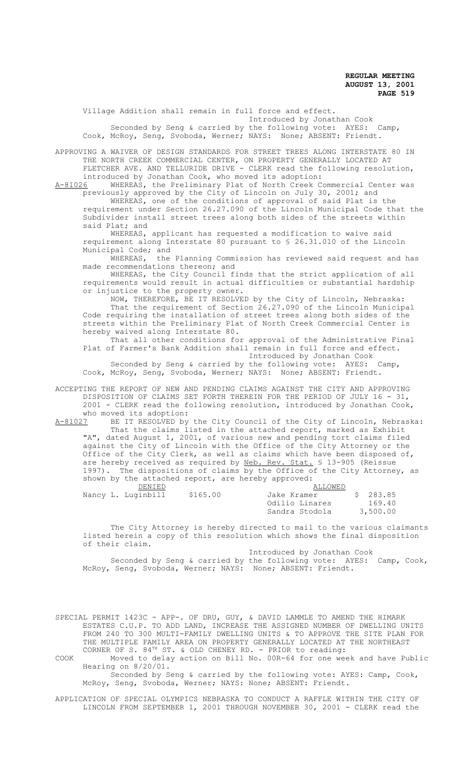Village Addition shall remain in full force and effect.

Introduced by Jonathan Cook Seconded by Seng & carried by the following vote: AYES: Camp, Cook, McRoy, Seng, Svoboda, Werner; NAYS: None; ABSENT: Friendt.

APPROVING A WAIVER OF DESIGN STANDARDS FOR STREET TREES ALONG INTERSTATE 80 IN

THE NORTH CREEK COMMERCIAL CENTER, ON PROPERTY GENERALLY LOCATED AT FLETCHER AVE. AND TELLURIDE DRIVE - CLERK read the following resolution, introduced by Jonathan Cook, who moved its adoption:<br>A-81026 WHEREAS, the Preliminary Plat of North Creek Co

WHEREAS, the Preliminary Plat of North Creek Commercial Center was previously approved by the City of Lincoln on July 30, 2001; and

WHEREAS, one of the conditions of approval of said Plat is the requirement under Section 26.27.090 of the Lincoln Municipal Code that the Subdivider install street trees along both sides of the streets within said Plat; and

WHEREAS, applicant has requested a modification to waive said requirement along Interstate 80 pursuant to § 26.31.010 of the Lincoln Municipal Code; and<br>WHEREAS, the

the Planning Commission has reviewed said request and has made recommendations thereon; and

WHEREAS, the City Council finds that the strict application of all requirements would result in actual difficulties or substantial hardship or injustice to the property owner.

NOW, THEREFORE, BE IT RESOLVED by the City of Lincoln, Nebraska: That the requirement of Section 26.27.090 of the Lincoln Municipal Code requiring the installation of street trees along both sides of the streets within the Preliminary Plat of North Creek Commercial Center is hereby waived along Interstate 80.

That all other conditions for approval of the Administrative Final Plat of Farmer's Bank Addition shall remain in full force and effect. Introduced by Jonathan Cook

Seconded by Seng & carried by the following vote: AYES: Camp, Cook, McRoy, Seng, Svoboda, Werner; NAYS: None; ABSENT: Friendt.

ACCEPTING THE REPORT OF NEW AND PENDING CLAIMS AGAINST THE CITY AND APPROVING DISPOSITION OF CLAIMS SET FORTH THEREIN FOR THE PERIOD OF JULY 16 - 31, 2001 - CLERK read the following resolution, introduced by Jonathan Cook, who moved its adoption:<br>A-81027 BE IT RESOLVED by

BE IT RESOLVED by the City Council of the City of Lincoln, Nebraska: That the claims listed in the attached report, marked as Exhibit "A", dated August 1, 2001, of various new and pending tort claims filed against the City of Lincoln with the Office of the City Attorney or the Office of the City Clerk, as well as claims which have been disposed of, are hereby received as required by Neb. Rev. Stat. § 13-905 (Reissue 1997). The dispositions of claims by the Office of the City Attorney, as shown by the attached report, are hereby approved:

|  | DENIED             |          | ALLOWED        |          |
|--|--------------------|----------|----------------|----------|
|  | Nancy L. Luginbill | \$165.00 | Jake Kramer    | \$283.85 |
|  |                    |          | Odilio Linares | 169.40   |
|  |                    |          | Sandra Stodola | 3,500.00 |

The City Attorney is hereby directed to mail to the various claimants listed herein a copy of this resolution which shows the final disposition of their claim.

 Introduced by Jonathan Cook Seconded by Seng & carried by the following vote: AYES: Camp, Cook, McRoy, Seng, Svoboda, Werner; NAYS: None; ABSENT: Friendt.

SPECIAL PERMIT 1423C - APP-. OF DRU, GUY, & DAVID LAMMLE TO AMEND THE HIMARK ESTATES C.U.P. TO ADD LAND, INCREASE THE ASSIGNED NUMBER OF DWELLING UNITS FROM 240 TO 300 MULTI-FAMILY DWELLING UNITS & TO APPROVE THE SITE PLAN FOR THE MULTIPLE FAMILY AREA ON PROPERTY GENERALLY LOCATED AT THE NORTHEAST CORNER OF S.  $84^{\text{TH}}$  ST. & OLD CHENEY RD. - PRIOR to reading:

COOK Moved to delay action on Bill No. 00R-64 for one week and have Public Hearing on 8/20/01. Seconded by Seng & carried by the following vote: AYES: Camp, Cook,

McRoy, Seng, Svoboda, Werner; NAYS: None; ABSENT: Friendt.

APPLICATION OF SPECIAL OLYMPICS NEBRASKA TO CONDUCT A RAFFLE WITHIN THE CITY OF LINCOLN FROM SEPTEMBER 1, 2001 THROUGH NOVEMBER 30, 2001 - CLERK read the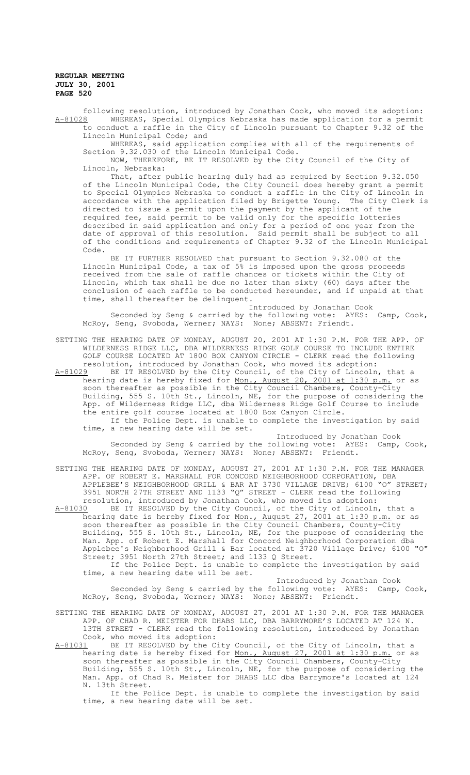following resolution, introduced by Jonathan Cook, who moved its adoption:<br>A-81028 WHEREAS, Special Olympics Nebraska has made application for a permit WHEREAS, Special Olympics Nebraska has made application for a permit to conduct a raffle in the City of Lincoln pursuant to Chapter 9.32 of the Lincoln Municipal Code; and

WHEREAS, said application complies with all of the requirements of Section 9.32.030 of the Lincoln Municipal Code.

NOW, THEREFORE, BE IT RESOLVED by the City Council of the City of Lincoln, Nebraska:

That, after public hearing duly had as required by Section 9.32.050 of the Lincoln Municipal Code, the City Council does hereby grant a permit to Special Olympics Nebraska to conduct a raffle in the City of Lincoln in accordance with the application filed by Brigette Young. The City Clerk is directed to issue a permit upon the payment by the applicant of the required fee, said permit to be valid only for the specific lotteries described in said application and only for a period of one year from the date of approval of this resolution. Said permit shall be subject to all of the conditions and requirements of Chapter 9.32 of the Lincoln Municipal Code.

BE IT FURTHER RESOLVED that pursuant to Section 9.32.080 of the Lincoln Municipal Code, a tax of 5% is imposed upon the gross proceeds received from the sale of raffle chances or tickets within the City of Lincoln, which tax shall be due no later than sixty (60) days after the conclusion of each raffle to be conducted hereunder, and if unpaid at that time, shall thereafter be delinquent.

Introduced by Jonathan Cook Seconded by Seng & carried by the following vote: AYES: Camp, Cook, McRoy, Seng, Svoboda, Werner; NAYS: None; ABSENT: Friendt.

SETTING THE HEARING DATE OF MONDAY, AUGUST 20, 2001 AT 1:30 P.M. FOR THE APP. OF WILDERNESS RIDGE LLC, DBA WILDERNESS RIDGE GOLF COURSE TO INCLUDE ENTIRE GOLF COURSE LOCATED AT 1800 BOX CANYON CIRCLE - CLERK read the following resolution, introduced by Jonathan Cook, who moved its adoption: A-81029 BE IT RESOLVED by the City Council, of the City of Lincoln, that a

hearing date is hereby fixed for Mon., August 20, 2001 at 1:30 p.m. or as soon thereafter as possible in the City Council Chambers, County-City Building, 555 S. 10th St., Lincoln, NE, for the purpose of considering the App. of Wilderness Ridge LLC, dba Wilderness Ridge Golf Course to include the entire golf course located at 1800 Box Canyon Circle. If the Police Dept. is unable to complete the investigation by said time, a new hearing date will be set.

Introduced by Jonathan Cook Seconded by Seng & carried by the following vote: AYES: Camp, Cook, McRoy, Seng, Svoboda, Werner; NAYS: None; ABSENT: Friendt.

SETTING THE HEARING DATE OF MONDAY, AUGUST 27, 2001 AT 1:30 P.M. FOR THE MANAGER APP. OF ROBERT E. MARSHALL FOR CONCORD NEIGHBORHOOD CORPORATION, DBA APPLEBEE'S NEIGHBORHOOD GRILL & BAR AT 3730 VILLAGE DRIVE; 6100 "O" STREET; 3951 NORTH 27TH STREET AND 1133 "Q" STREET - CLERK read the following resolution, introduced by Jonathan Cook, who moved its adoption:<br>A-81030 BE IT RESOLVED by the City Council, of the City of Lincoln

BE IT RESOLVED by the City Council, of the City of Lincoln, that a hearing date is hereby fixed for Mon., August 27, 2001 at 1:30 p.m. or as soon thereafter as possible in the City Council Chambers, County-City Building, 555 S. 10th St., Lincoln, NE, for the purpose of considering the Man. App. of Robert E. Marshall for Concord Neighborhood Corporation dba Applebee's Neighborhood Grill & Bar located at 3720 Village Drive; 6100 "O" Street; 3951 North 27th Street; and 1133 Q Street. If the Police Dept. is unable to complete the investigation by said

time, a new hearing date will be set.

Introduced by Jonathan Cook Seconded by Seng & carried by the following vote: AYES: Camp, Cook, McRoy, Seng, Svoboda, Werner; NAYS: None; ABSENT: Friendt.

SETTING THE HEARING DATE OF MONDAY, AUGUST 27, 2001 AT 1:30 P.M. FOR THE MANAGER APP. OF CHAD R. MEISTER FOR DHABS LLC, DBA BARRYMORE'S LOCATED AT 124 N. 13TH STREET - CLERK read the following resolution, introduced by Jonathan Cook, who moved its adoption:<br>A-81031 BE IT RESOLVED by the C

A-81031 BE IT RESOLVED by the City Council, of the City of Lincoln, that a hearing date is hereby fixed for <u>Mon., August 27, 2001 at 1:30 p.m.</u> or as soon thereafter as possible in the City Council Chambers, County-City Building, 555 S. 10th St., Lincoln, NE, for the purpose of considering the Man. App. of Chad R. Meister for DHABS LLC dba Barrymore's located at 124 N. 13th Street.

If the Police Dept. is unable to complete the investigation by said time, a new hearing date will be set.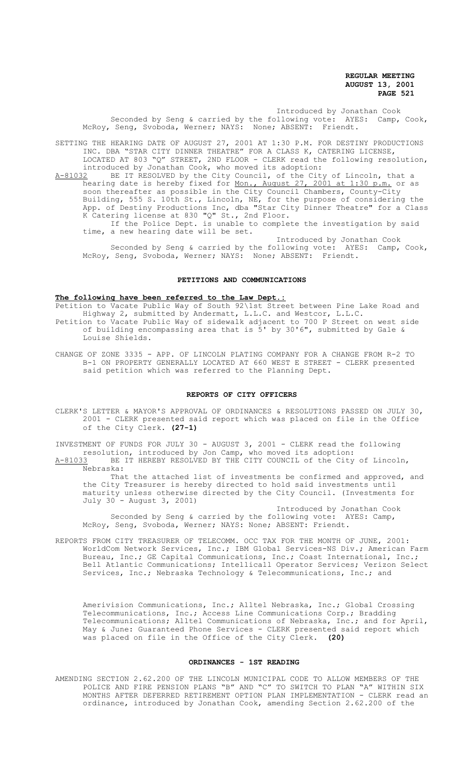Introduced by Jonathan Cook Seconded by Seng & carried by the following vote: AYES: Camp, Cook, McRoy, Seng, Svoboda, Werner; NAYS: None; ABSENT: Friendt.

SETTING THE HEARING DATE OF AUGUST 27, 2001 AT 1:30 P.M. FOR DESTINY PRODUCTIONS INC. DBA "STAR CITY DINNER THEATRE" FOR A CLASS K, CATERING LICENSE, LOCATED AT 803 "Q" STREET, 2ND FLOOR - CLERK read the following resolution,

introduced by Jonathan Cook, who moved its adoption:<br>A-81032 BE IT RESOLVED by the City Council, of the Cit A-81032 BE IT RESOLVED by the City Council, of the City of Lincoln, that a hearing date is hereby fixed for <u>Mon., August 27, 2001 at 1:30 p.m.</u> or as soon thereafter as possible in the City Council Chambers, County-City Building, 555 S. 10th St., Lincoln, NE, for the purpose of considering the App. of Destiny Productions Inc, dba "Star City Dinner Theatre" for a Class K Catering license at 830 "Q" St., 2nd Floor.

If the Police Dept. is unable to complete the investigation by said time, a new hearing date will be set.

Introduced by Jonathan Cook Seconded by Seng & carried by the following vote: AYES: Camp, Cook, McRoy, Seng, Svoboda, Werner; NAYS: None; ABSENT: Friendt.

### **PETITIONS AND COMMUNICATIONS**

#### **The following have been referred to the Law Dept.:**

Petition to Vacate Public Way of South 92\1st Street between Pine Lake Road and Highway 2, submitted by Andermatt, L.L.C. and Westcor, L.L.C.

Petition to Vacate Public Way of sidewalk adjacent to 700 P Street on west side of building encompassing area that is 5' by 30'6", submitted by Gale & Louise Shields.

CHANGE OF ZONE 3335 - APP. OF LINCOLN PLATING COMPANY FOR A CHANGE FROM R-2 TO B-1 ON PROPERTY GENERALLY LOCATED AT 660 WEST E STREET - CLERK presented said petition which was referred to the Planning Dept.

### **REPORTS OF CITY OFFICERS**

CLERK'S LETTER & MAYOR'S APPROVAL OF ORDINANCES & RESOLUTIONS PASSED ON JULY 30, 2001 - CLERK presented said report which was placed on file in the Office of the City Clerk. **(27-1)**

INVESTMENT OF FUNDS FOR JULY 30 - AUGUST 3, 2001 - CLERK read the following resolution, introduced by Jon Camp, who moved its adoption: A-81033 BE IT HEREBY RESOLVED BY THE CITY COUNCIL of the City of Lincoln,

Nebraska: That the attached list of investments be confirmed and approved, and the City Treasurer is hereby directed to hold said investments until maturity unless otherwise directed by the City Council. (Investments for July 30 - August 3, 2001)

Introduced by Jonathan Cook Seconded by Seng & carried by the following vote: AYES: Camp, McRoy, Seng, Svoboda, Werner; NAYS: None; ABSENT: Friendt.

REPORTS FROM CITY TREASURER OF TELECOMM. OCC TAX FOR THE MONTH OF JUNE, 2001: WorldCom Network Services, Inc.; IBM Global Services-NS Div.; American Farm Bureau, Inc.; GE Capital Communications, Inc.; Coast International, Inc.; Bell Atlantic Communications; Intellicall Operator Services; Verizon Select Services, Inc.; Nebraska Technology & Telecommunications, Inc.; and

Amerivision Communications, Inc.; Alltel Nebraska, Inc.; Global Crossing Telecommunications, Inc.; Access Line Communications Corp.; Bradding Telecommunications; Alltel Communications of Nebraska, Inc.; and for April, May & June: Guaranteed Phone Services - CLERK presented said report which was placed on file in the Office of the City Clerk. **(20)**

### **ORDINANCES - 1ST READING**

AMENDING SECTION 2.62.200 OF THE LINCOLN MUNICIPAL CODE TO ALLOW MEMBERS OF THE POLICE AND FIRE PENSION PLANS "B" AND "C" TO SWITCH TO PLAN "A" WITHIN SIX MONTHS AFTER DEFERRED RETIREMENT OPTION PLAN IMPLEMENTATION - CLERK read an ordinance, introduced by Jonathan Cook, amending Section 2.62.200 of the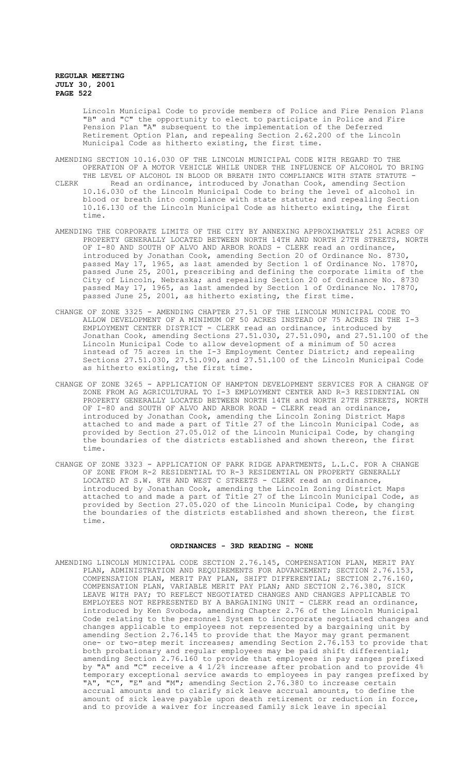Lincoln Municipal Code to provide members of Police and Fire Pension Plans "B" and "C" the opportunity to elect to participate in Police and Fire Pension Plan "A" subsequent to the implementation of the Deferred Retirement Option Plan, and repealing Section 2.62.200 of the Lincoln Municipal Code as hitherto existing, the first time.

- AMENDING SECTION 10.16.030 OF THE LINCOLN MUNICIPAL CODE WITH REGARD TO THE OPERATION OF A MOTOR VEHICLE WHILE UNDER THE INFLUENCE OF ALCOHOL TO BRING THE LEVEL OF ALCOHOL IN BLOOD OR BREATH INTO COMPLIANCE WITH STATE STATUTE -
- CLERK Read an ordinance, introduced by Jonathan Cook, amending Section 10.16.030 of the Lincoln Municipal Code to bring the level of alcohol in blood or breath into compliance with state statute; and repealing Section 10.16.130 of the Lincoln Municipal Code as hitherto existing, the first time.
- AMENDING THE CORPORATE LIMITS OF THE CITY BY ANNEXING APPROXIMATELY 251 ACRES OF PROPERTY GENERALLY LOCATED BETWEEN NORTH 14TH AND NORTH 27TH STREETS, NORTH OF I-80 AND SOUTH OF ALVO AND ARBOR ROADS - CLERK read an ordinance, introduced by Jonathan Cook, amending Section 20 of Ordinance No. 8730, passed May 17, 1965, as last amended by Section 1 of Ordinance No. 17870, passed June 25, 2001, prescribing and defining the corporate limits of the City of Lincoln, Nebraska; and repealing Section 20 of Ordinance No. 8730 passed May 17, 1965, as last amended by Section 1 of Ordinance No. 17870, passed June 25, 2001, as hitherto existing, the first time.
- CHANGE OF ZONE 3325 AMENDING CHAPTER 27.51 OF THE LINCOLN MUNICIPAL CODE TO ALLOW DEVELOPMENT OF A MINIMUM OF 50 ACRES INSTEAD OF 75 ACRES IN THE I-3 EMPLOYMENT CENTER DISTRICT - CLERK read an ordinance, introduced by Jonathan Cook, amending Sections 27.51.030, 27.51.090, and 27.51.100 of the Lincoln Municipal Code to allow development of a minimum of 50 acres instead of 75 acres in the I-3 Employment Center District; and repealing Sections 27.51.030, 27.51.090, and 27.51.100 of the Lincoln Municipal Code as hitherto existing, the first time.
- CHANGE OF ZONE 3265 APPLICATION OF HAMPTON DEVELOPMENT SERVICES FOR A CHANGE OF ZONE FROM AG AGRICULTURAL TO I-3 EMPLOYMENT CENTER AND R-3 RESIDENTIAL ON PROPERTY GENERALLY LOCATED BETWEEN NORTH 14TH and NORTH 27TH STREETS, NORTH OF I-80 and SOUTH OF ALVO AND ARBOR ROAD - CLERK read an ordinance, introduced by Jonathan Cook, amending the Lincoln Zoning District Maps attached to and made a part of Title 27 of the Lincoln Municipal Code, as provided by Section 27.05.012 of the Lincoln Municipal Code, by changing the boundaries of the districts established and shown thereon, the first time.
- CHANGE OF ZONE 3323 APPLICATION OF PARK RIDGE APARTMENTS, L.L.C. FOR A CHANGE OF ZONE FROM R-2 RESIDENTIAL TO R-3 RESIDENTIAL ON PROPERTY GENERALLY LOCATED AT S.W. 8TH AND WEST C STREETS - CLERK read an ordinance, introduced by Jonathan Cook, amending the Lincoln Zoning District Maps attached to and made a part of Title 27 of the Lincoln Municipal Code, as provided by Section 27.05.020 of the Lincoln Municipal Code, by changing the boundaries of the districts established and shown thereon, the first time.

## **ORDINANCES - 3RD READING - NONE**

AMENDING LINCOLN MUNICIPAL CODE SECTION 2.76.145, COMPENSATION PLAN, MERIT PAY PLAN, ADMINISTRATION AND REQUIREMENTS FOR ADVANCEMENT; SECTION 2.76.153, COMPENSATION PLAN, MERIT PAY PLAN, SHIFT DIFFERENTIAL; SECTION 2.76.160, COMPENSATION PLAN, VARIABLE MERIT PAY PLAN; AND SECTION 2.76.380, SICK LEAVE WITH PAY; TO REFLECT NEGOTIATED CHANGES AND CHANGES APPLICABLE TO EMPLOYEES NOT REPRESENTED BY A BARGAINING UNIT - CLERK read an ordinance, introduced by Ken Svoboda, amending Chapter 2.76 of the Lincoln Municipal Code relating to the personnel System to incorporate negotiated changes and changes applicable to employees not represented by a bargaining unit by amending Section 2.76.145 to provide that the Mayor may grant permanent one- or two-step merit increases; amending Section 2.76.153 to provide that both probationary and regular employees may be paid shift differential; amending Section 2.76.160 to provide that employees in pay ranges prefixed by "A" and "C" receive a 4 1/2% increase after probation and to provide 4% temporary exceptional service awards to employees in pay ranges prefixed by "A", "C", "E" and "M"; amending Section 2.76.380 to increase certain accrual amounts and to clarify sick leave accrual amounts, to define the amount of sick leave payable upon death retirement or reduction in force, and to provide a waiver for increased family sick leave in special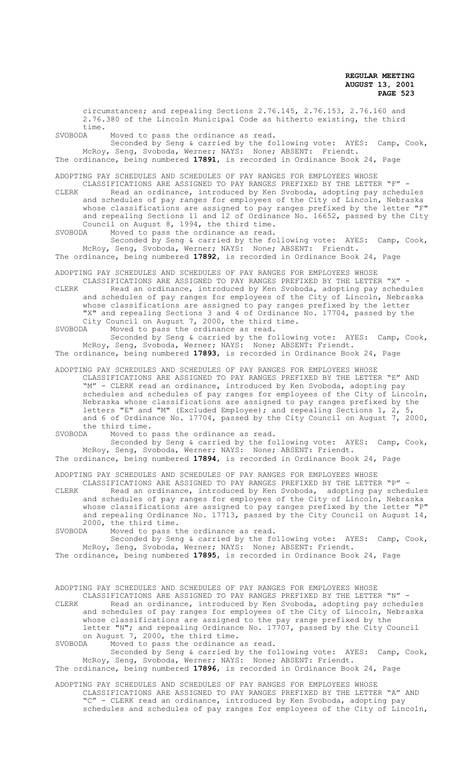circumstances; and repealing Sections 2.76.145, 2.76.153, 2.76.160 and 2.76.380 of the Lincoln Municipal Code as hitherto existing, the third time.<br>SVOBODA Moved to pass the ordinance as read. Seconded by Seng & carried by the following vote: AYES: Camp, Cook, McRoy, Seng, Svoboda, Werner; NAYS: None; ABSENT: Friendt. The ordinance, being numbered **17891**, is recorded in Ordinance Book 24, Page ADOPTING PAY SCHEDULES AND SCHEDULES OF PAY RANGES FOR EMPLOYEES WHOSE CLASSIFICATIONS ARE ASSIGNED TO PAY RANGES PREFIXED BY THE LETTER "F" - CLERK Read an ordinance, introduced by Ken Svoboda, adopting pay schedules and schedules of pay ranges for employees of the City of Lincoln, Nebraska whose classifications are assigned to pay ranges prefixed by the letter "F" and repealing Sections 11 and 12 of Ordinance No. 16652, passed by the City Council on August 8, 1994, the third time.<br>SVOBODA Moved to pass the ordinance as read. Moved to pass the ordinance as read. Seconded by Seng & carried by the following vote: AYES: Camp, Cook, McRoy, Seng, Svoboda, Werner; NAYS: None; ABSENT: Friendt. The ordinance, being numbered **17892**, is recorded in Ordinance Book 24, Page ADOPTING PAY SCHEDULES AND SCHEDULES OF PAY RANGES FOR EMPLOYEES WHOSE CLASSIFICATIONS ARE ASSIGNED TO PAY RANGES PREFIXED BY THE LETTER "X" - CLERK Read an ordinance, introduced by Ken Svoboda, adopting pay schedules and schedules of pay ranges for employees of the City of Lincoln, Nebraska whose classifications are assigned to pay ranges prefixed by the letter "X" and repealing Sections 3 and 4 of Ordinance No. 17704, passed by the City Council on August 7, 2000, the third time.<br>SVOBODA Moved to pass the ordinance as read. Moved to pass the ordinance as read. Seconded by Seng & carried by the following vote: AYES: Camp, Cook, McRoy, Seng, Svoboda, Werner; NAYS: None; ABSENT: Friendt. The ordinance, being numbered **17893**, is recorded in Ordinance Book 24, Page ADOPTING PAY SCHEDULES AND SCHEDULES OF PAY RANGES FOR EMPLOYEES WHOSE CLASSIFICATIONS ARE ASSIGNED TO PAY RANGES PREFIXED BY THE LETTER "E" AND "M" - CLERK read an ordinance, introduced by Ken Svoboda, adopting pay schedules and schedules of pay ranges for employees of the City of Lincoln, Nebraska whose classifications are assigned to pay ranges prefixed by the letters "E" and "M" (Excluded Employee); and repealing Sections 1, 2, 5, and 6 of Ordinance No. 17704, passed by the City Council on August 7, 2000, the third time.<br>SVOBODA Moved to m Moved to pass the ordinance as read. Seconded by Seng & carried by the following vote: AYES: Camp, Cook, McRoy, Seng, Svoboda, Werner; NAYS: None; ABSENT: Friendt. The ordinance, being numbered **17894**, is recorded in Ordinance Book 24, Page ADOPTING PAY SCHEDULES AND SCHEDULES OF PAY RANGES FOR EMPLOYEES WHOSE CLASSIFICATIONS ARE ASSIGNED TO PAY RANGES PREFIXED BY THE LETTER "P" - CLERK Read an ordinance, introduced by Ken Svoboda, adopting pay schedules and schedules of pay ranges for employees of the City of Lincoln, Nebraska whose classifications are assigned to pay ranges prefixed by the letter "P" and repealing Ordinance No. 17713, passed by the City Council on August 14, 2000, the third time. SVOBODA Moved to pass the ordinance as read. Seconded by Seng & carried by the following vote: AYES: Camp, Cook, McRoy, Seng, Svoboda, Werner; NAYS: None; ABSENT: Friendt. The ordinance, being numbered **17895**, is recorded in Ordinance Book 24, Page ADOPTING PAY SCHEDULES AND SCHEDULES OF PAY RANGES FOR EMPLOYEES WHOSE CLASSIFICATIONS ARE ASSIGNED TO PAY RANGES PREFIXED BY THE LETTER "N" - CLERK Read an ordinance, introduced by Ken Svoboda, adopting pay schedules and schedules of pay ranges for employees of the City of Lincoln, Nebraska whose classifications are assigned to the pay range prefixed by the letter "N"; and repealing Ordinance No. 17707, passed by the City Council on August 7, 2000, the third time.<br>SVOBODA Moved to pass the ordinance Moved to pass the ordinance as read. Seconded by Seng & carried by the following vote: AYES: Camp, Cook,

McRoy, Seng, Svoboda, Werner; NAYS: None; ABSENT: Friendt. The ordinance, being numbered **17896**, is recorded in Ordinance Book 24, Page

ADOPTING PAY SCHEDULES AND SCHEDULES OF PAY RANGES FOR EMPLOYEES WHOSE CLASSIFICATIONS ARE ASSIGNED TO PAY RANGES PREFIXED BY THE LETTER "A" AND "C" - CLERK read an ordinance, introduced by Ken Svoboda, adopting pay schedules and schedules of pay ranges for employees of the City of Lincoln,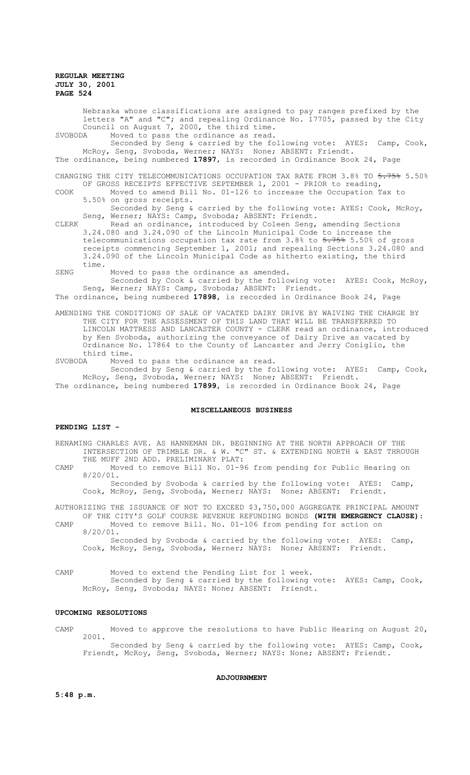Nebraska whose classifications are assigned to pay ranges prefixed by the letters "A" and "C"; and repealing Ordinance No. 17705, passed by the City Council on August 7, 2000, the third time. SVOBODA Moved to pass the ordinance as read.

Seconded by Seng & carried by the following vote: AYES: Camp, Cook, McRoy, Seng, Svoboda, Werner; NAYS: None; ABSENT: Friendt. The ordinance, being numbered **17897**, is recorded in Ordinance Book 24, Page

CHANGING THE CITY TELECOMMUNICATIONS OCCUPATION TAX RATE FROM 3.8% TO 5.75% 5.50% OF GROSS RECEIPTS EFFECTIVE SEPTEMBER 1, 2001 - PRIOR to reading,

COOK Moved to amend Bill No. 01-126 to increase the Occupation Tax to 5.50% on gross receipts.

Seconded by Seng & carried by the following vote: AYES: Cook, McRoy, Seng, Werner; NAYS: Camp, Svoboda; ABSENT: Friendt.

CLERK Read an ordinance, introduced by Coleen Seng, amending Sections 3.24.080 and 3.24.090 of the Lincoln Municipal Code to increase the telecommunications occupation tax rate from  $3.8$ % to  $5.75$ % 5.50% of gross receipts commencing September 1, 2001; and repealing Sections 3.24.080 and 3.24.090 of the Lincoln Municipal Code as hitherto existing, the third time.

SENG Moved to pass the ordinance as amended.

Seconded by Cook & carried by the following vote: AYES: Cook, McRoy, Seng, Werner; NAYS: Camp, Svoboda; ABSENT: Friendt.

The ordinance, being numbered **17898**, is recorded in Ordinance Book 24, Page

AMENDING THE CONDITIONS OF SALE OF VACATED DAIRY DRIVE BY WAIVING THE CHARGE BY THE CITY FOR THE ASSESSMENT OF THIS LAND THAT WILL BE TRANSFERRED TO LINCOLN MATTRESS AND LANCASTER COUNTY - CLERK read an ordinance, introduced by Ken Svoboda, authorizing the conveyance of Dairy Drive as vacated by Ordinance No. 17864 to the County of Lancaster and Jerry Coniglio, the third time.<br>SVOBODA Moved

Moved to pass the ordinance as read. Seconded by Seng & carried by the following vote: AYES: Camp, Cook, McRoy, Seng, Svoboda, Werner; NAYS: None; ABSENT: Friendt. The ordinance, being numbered **17899**, is recorded in Ordinance Book 24, Page

#### **MISCELLANEOUS BUSINESS**

# **PENDING LIST -**

RENAMING CHARLES AVE. AS HANNEMAN DR. BEGINNING AT THE NORTH APPROACH OF THE INTERSECTION OF TRIMBLE DR. & W. "C" ST. & EXTENDING NORTH & EAST THROUGH THE MUFF 2ND ADD. PRELIMINARY PLAT:

CAMP Moved to remove Bill No. 01-96 from pending for Public Hearing on 8/20/01.

Seconded by Svoboda & carried by the following vote: AYES: Camp, Cook, McRoy, Seng, Svoboda, Werner; NAYS: None; ABSENT: Friendt.

AUTHORIZING THE ISSUANCE OF NOT TO EXCEED \$3,750,000 AGGREGATE PRINCIPAL AMOUNT OF THE CITY'S GOLF COURSE REVENUE REFUNDING BONDS **(WITH EMERGENCY CLAUSE)**:

CAMP Moved to remove Bill. No. 01-106 from pending for action on 8/20/01. Seconded by Svoboda & carried by the following vote: AYES: Camp,

Cook, McRoy, Seng, Svoboda, Werner; NAYS: None; ABSENT: Friendt.

CAMP Moved to extend the Pending List for 1 week. Seconded by Seng & carried by the following vote: AYES: Camp, Cook, McRoy, Seng, Svoboda; NAYS: None; ABSENT: Friendt.

### **UPCOMING RESOLUTIONS**

CAMP Moved to approve the resolutions to have Public Hearing on August 20, 2001. Seconded by Seng & carried by the following vote: AYES: Camp, Cook, Friendt, McRoy, Seng, Svoboda, Werner; NAYS: None; ABSENT: Friendt.

**ADJOURNMENT**

**5:48 p.m.**